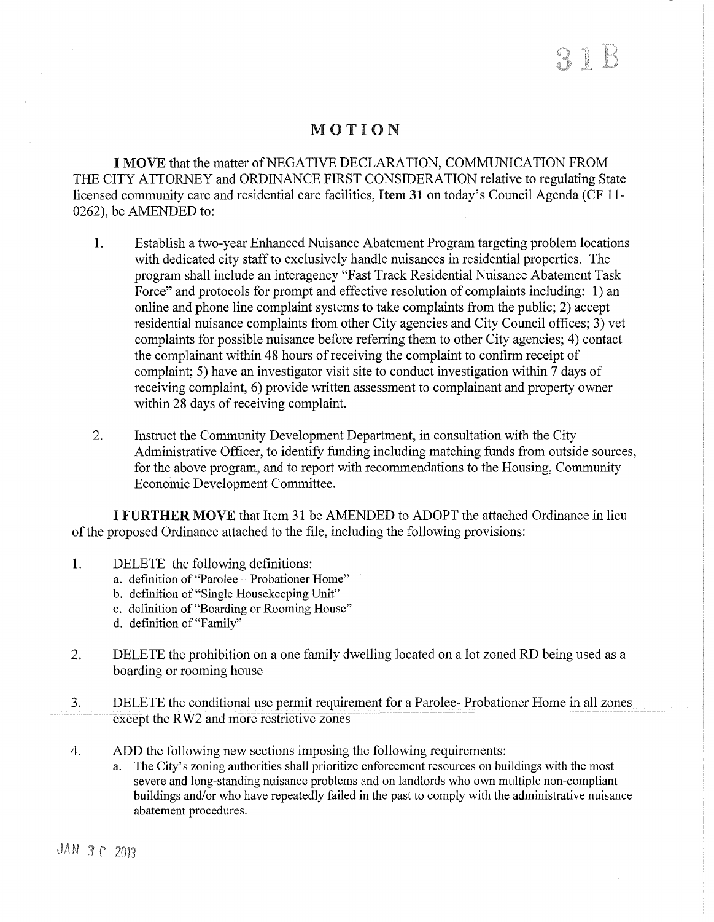# MOTION

I MOVE that the matter of NEGATIVE DECLARATION, COMMUNICATION FROM THE CITY ATTORNEY and ORDINANCE FIRST CONSIDERATION relative to regulating State licensed community care and residential care facilities, Item 31 on today's Council Agenda (CF 11-0262), be AMENDED to:

- 1. Establish a two-year Enhanced Nuisance Abatement Program targeting problem locations with dedicated city staff to exclusively handle nuisances in residential properties. The program shall include an interagency "Fast Track Residential Nuisance Abatement Task Force" and protocols for prompt and effective resolution of complaints including: 1) an online and phone line complaint systems to take complaints from the public; 2) accept residential nuisance complaints from other City agencies and City Council offices; 3) vet complaints for possible nuisance before referring them to other City agencies; 4) contact the complainant within 48 hours of receiving the complaint to confirm receipt of complaint; 5) have an investigator visit site to conduct investigation within 7 days of receiving complaint, 6) provide written assessment to complainant and property owner within 28 days of receiving complaint.
- 2. Instruct the Community Development Department, in consultation with the City Administrative Officer, to identify funding including matching funds from outside sources, for the above program, and to report with recommendations to the Housing, Community Economic Development Committee.

I FURTHER MOVE that Item 31 be AMENDED to ADOPT the attached Ordinance in lieu of the proposed Ordinance attached to the file, including the following provisions:

- 1. DELETE the following definitions:
	- a. definition of "Parolee Probationer Home"
	- b. definition of "Single Housekeeping Unit"
	- c. definition of "Boarding or Rooming House"
	- d. definition of"Family"
- 2. DELETE the prohibition on a one family dwelling located on a lot zoned RD being used as a boarding or rooming house
- 3. DELETE the conditional use permit requirement for a Parolee- Probationer Home in all zones except the RW2 and more restrictive zones
- 4. ADD the following new sections imposing the following requirements:
	- a. The City's zoning authorities shall prioritize enforcement resources on buildings with the most severe and long-standing nuisance problems and on landlords who own multiple non-compliant buildings and/or who have repeatedly failed in the past to comply with the administrative nuisance abatement procedures.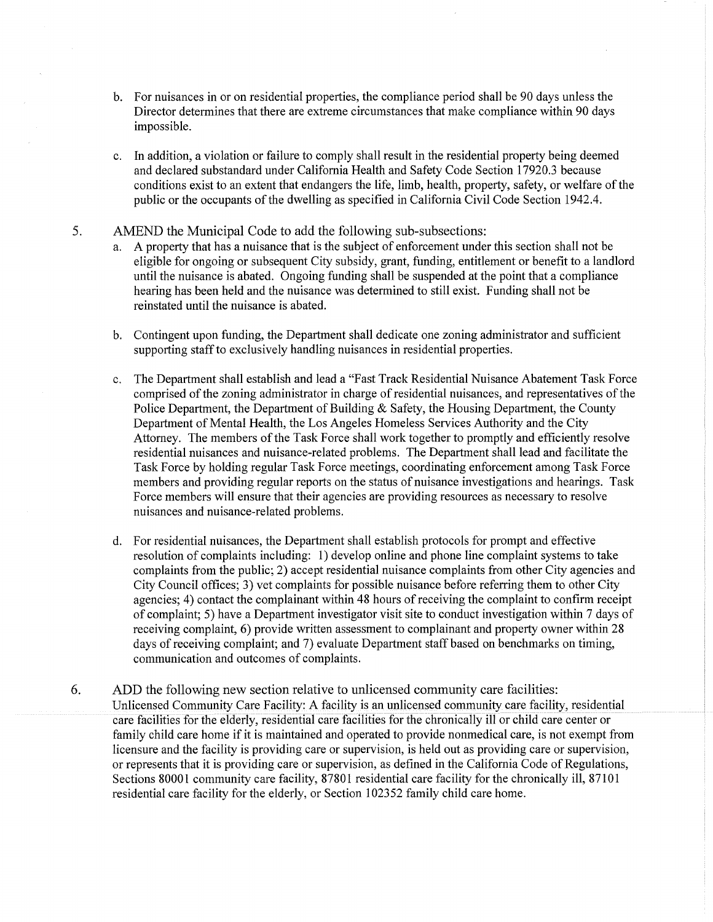- b. For nuisances in or on residential properties, the compliance period shall be 90 days unless the Director determines that there are extreme circumstances that make compliance within 90 days impossible.
- c. In addition, a violation or failure to comply shall result in the residential property being deemed and declared substandard under California Health and Safety Code Section 17920.3 because conditions exist to an extent that endangers the life, limb, health, property, safety, or welfare of the public or the occupants of the dwelling as specified in California Civil Code Section 1942.4.
- 5. AMEND the Municipal Code to add the following sub-subsections:
	- a. A property that has a nuisance that is the subject of enforcement under this section shall not be eligible for ongoing or subsequent City subsidy, grant, funding, entitlement or benefit to a landlord until the nuisance is abated. Ongoing funding shall be suspended at the point that a compliance hearing has been held and the nuisance was determined to still exist. Funding shall not be reinstated until the nuisance is abated.
	- b. Contingent upon funding, the Department shall dedicate one zoning administrator and sufficient supporting staff to exclusively handling nuisances in residential properties.
	- c. The Department shall establish and lead a "Fast Track Residential Nuisance Abatement Task Force comprised of the zoning administrator in charge of residential nuisances, and representatives of the Police Department, the Department of Building & Safety, the Housing Department, the County Department of Mental Health, the Los Angeles Homeless Services Authority and the City Attorney. The members of the Task Force shall work together to promptly and efficiently resolve residential nuisances and nuisance-related problems. The Department shall lead and facilitate the Task Force by holding regular Task Force meetings, coordinating enforcement among Task Force members and providing regular reports on the status of nuisance investigations and hearings. Task Force members will ensure that their agencies are providing resources as necessary to resolve nuisances and nuisance-related problems.
	- d. For residential nuisances, the Department shall establish protocols for prompt and effective resolution of complaints including: 1) develop online and phone line complaint systems to take complaints from the public; 2) accept residential nuisance complaints from other City agencies and City Council offices; 3) vet complaints for possible nuisance before referring them to other City agencies; 4) contact the complainant within 48 hours of receiving the complaint to confirm receipt of complaint; 5) have a Department investigator visit site to conduct investigation within 7 days of receiving complaint, 6) provide written assessment to complainant and property owner within 28 days of receiving complaint; and 7) evaluate Department staff based on benchmarks on timing, communication and outcomes of complaints.
- 6. ADD the following new section relative to unlicensed community care facilities: Unlicensed Community Care Facility: A facility is an unlicensed community care facility, residential care facilities for the elderly, residential care facilities for the chronically ill or child care center or family child care home if it is maintained and operated to provide nonmedical care, is not exempt from licensure and the facility is providing care or supervision, is held out as providing care or supervision, or represents that it is providing care or supervision, as defined in the California Code of Regulations, Sections 80001 community care facility, 87801 residential care facility for the chronically ill, 87101 residential care facility for the elderly, or Section 102352 family child care home.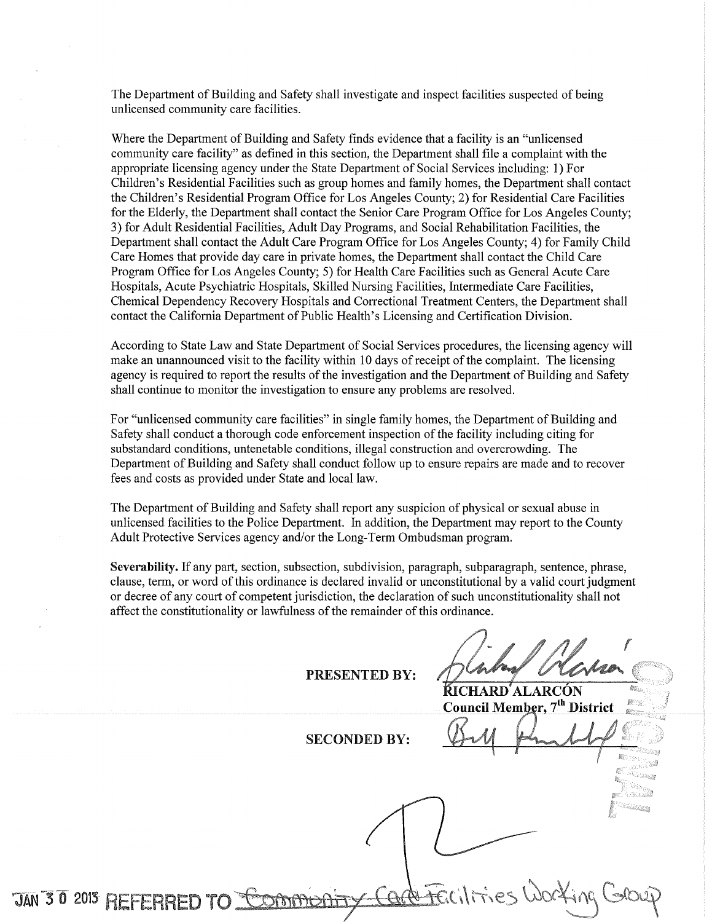The Department of Building and Safety shall investigate and inspect facilities suspected of being unlicensed community care facilities.

Where the Department of Building and Safety finds evidence that a facility is an "unlicensed community care facility" as defined in this section, the Department shall file a complaint with the appropriate licensing agency under the State Department of Social Services including: 1) For Children's Residential Facilities such as group homes and family homes, the Department shall contact the Children's Residential Program Office for Los Angeles County; 2) for Residential Care Facilities for the Elderly, the Department shall contact the Senior Care Program Office for Los Angeles County; 3) for Adult Residential Facilities, Adult Day Programs, and Social Rehabilitation Facilities, the Department shall contact the Adult Care Program Office for Los Angeles County; 4) for Family Child Care Homes that provide day care in private homes, the Department shall contact the Child Care Program Office for Los Angeles County; 5) for Health Care Facilities such as General Acute Care Hospitals, Acute Psychiatric Hospitals, Skilled Nursing Facilities, Intermediate Care Facilities, Chemical Dependency Recovery Hospitals and Correctional Treatment Centers, the Department shall contact the California Department of Public Health's Licensing and Certification Division.

According to State Law and State Department of Social Services procedures, the licensing agency will make an unannounced visit to the facility within 10 days of receipt of the complaint. The licensing agency is required to report the results of the investigation and the Department of Building and Safety shall continue to monitor the investigation to ensure any problems are resolved.

For "unlicensed community care facilities" in single family homes, the Department of Building and Safety shall conduct a thorough code enforcement inspection of the facility including citing for substandard conditions, untenetable conditions, illegal construction and overcrowding. The Department of Building and Safety shall conduct follow up to ensure repairs are made and to recover fees and costs as provided under State and local law.

The Department of Building and Safety shall report any suspicion of physical or sexual abuse in unlicensed facilities to the Police Department. In addition, the Department may report to the County Adult Protective Services agency and/or the Long-Term Ombudsman program.

Severability. If any part, section, subsection, subdivision, paragraph, subparagraph, sentence, phrase, clause, term, or word of this ordinance is declared invalid or unconstitutional by a valid court judgment or decree of any court of competent jurisdiction, the declaration of such unconstitutionality shall not affect the constitutionality or lawfulness of the remainder of this ordinance.

PRESENTED BY:

**KICHARD'ALARCÓN** Council Member, 7<sup>th</sup> District

SECONDED BY:

JAN 30 2013 REFERRED TO COMMODE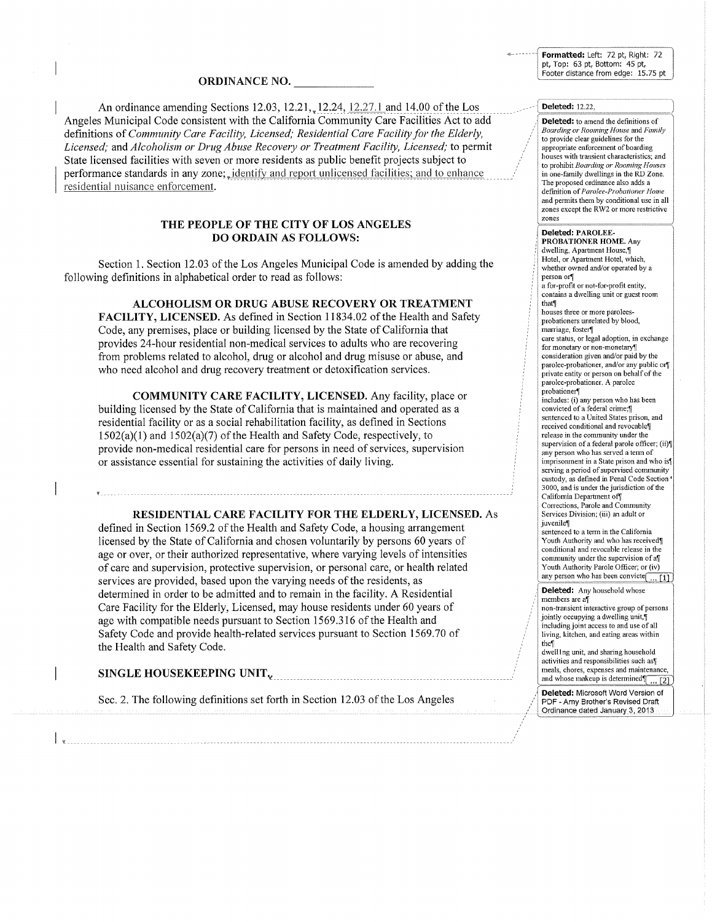Formatted: Left: 72 pt, Right: 72 pt, Top: 63 pt, Bottom: 45 pt, Footer distance from edge: 15.75 pt

#### ORDINANCE NO.

An ordinance amending Sections 12.03, 12.21, 12.24, 12.27.1 and 14.00 of the Los Angeles Municipal Code consistent with the California Community Care Facilities Act to add definitions of *Community Care Facility, Licensed; Residential Care Facility for the Elderly, Licensed;* and *Alcoholism or Drug Abuse Recovery or Treatment Facility, Licensed;* to permit State licensed facilities with seven or more residents as public benefit projects subject to performance standards in any zone;. identify and report unlicensed facilities; and to enhance residential nuisance enforcement.

## THE PEOPLE OF THE CITY OF LOS ANGELES DO ORDAIN AS FOLLOWS:

Section 1. Section 12.03 of the Los Angeles Municipal Code is amended by adding the following definitions in alphabetical order to read as follows:

ALCOHOLISM OR DRUG ABUSE RECOVERY OR TREATMENT

FACILITY, LICENSED. As defined in Section 11834.02 of the Health and Safety Code, any premises, place or building licensed by the State of California that provides 24-hour residential non-medical services to adults who are recovering from problems related to alcohol, drug or alcohol and drug misuse or abuse, and who need alcohol and drug recovery treatment or detoxification services.

COMMUNITY CARE FACILITY, LICENSED. Any facility, place or building licensed by the State of California that is maintained and operated as a residential facility or as a social rehabilitation facility, as defined in Sections  $1502(a)(1)$  and  $1502(a)(7)$  of the Health and Safety Code, respectively, to provide non-medical residential care for persons in need of services, supervision or assistance essential for sustaining the activities of daily living.

#### RESIDENTIAL CARE FACILITY FOR THE ELDERLY, LICENSED. As

defined in Section 1569.2 of the Health and Safety Code, a housing arrangement licensed by the State of California and chosen voluntarily by persons 60 years of age or over, or their authorized representative, where varying levels of intensities of care and supervision, protective supervision, or personal care, or health related services are provided, based upon the varying needs of the residents, as determined in order to be admitted and to remain in the facility. A Residential Care Facility for the Elderly, Licensed, may house residents under 60 years of age with compatible needs pursuant to Section 1569.316 of the Health and Safety Code and provide health-related services pursuant to Section 1569.70 of the Health and Safety Code.

SINGLE HOUSEKEEPING UNIT 'L

Sec. 2. The following definitions set forth in Section 12.03 of the Los Angeles

#### Deleted: 12.22

Deleted: to amend the definitions of *Boarding or Rooming House* and *Family*  to provide clear guidelines for the appropriate enforcement of boarding houses with transient characteristics; and to prohibit *Boarding or Rooming Houses*  in one-family dwellings in the RD Zone. The proposed ordinance also adds a defmition of *Parolee-Probationer Home*  and pennits them by conditional use in all zones except the RW2 or more restrictive zones

#### Deleted: PAROLEE-

PROBATIONER HOME. Any dwelling, Apartment House,¶ Hotel, or Apartment Hotel, which, whether owned and/or operated by a person or a for-profit or not-for-profit entity, contains a dwelling unit or guest room that¶ houses three or more paroleesprobationers unrelated by blood, marriage, foster¶ care status, or legal adoption, in exchange for monetary or non-monetary¶ consideration given and/or paid by the parolee-probationer, and/or any public or private entity or person on behalf of the parolee-probationer. A parolee probationer¶ includes: (i) any person who has been convicted of a federal crime; sentenced to a United States prison, and received conditional and revocable¶ release in the community under the supervision of a federal parole officer; (ii) any person who has served a tenn of imprisonment in a State prison and who is? serving a period of supervised community custody, as defmed in Penal Code Section'

3000, and is under the jurisdiction of the California Department off Corrections, Parole and Community Services Division; (iii) an adult or iuvenile¶

sentenced to a term in the California Youth Authority and who has received conditional and revocable release in the community under the supervision of a $\P$ Youth Authority Parole Officer; or (iv) any person who has been convicte $\boxed{... [1]}$ 

 $\overline{\phantom{a}}$ 

## Deleted: Any household whose

members are a $\mathbb{I}$ non-transient interactive group of persons jointly occupying a dwelling unit, including joint access to and use of all living, kitchen, and eating areas within the<sup>[]</sup>

dwell Ing unit, and sharing household activities and responsibilities such as meals, chores, expenses and maintenance, 1 and whose makeup is determined  $\sqrt{12}$ 

Deleted: Microsoft Word Version of PDF - Amy Brother's Revised Draft Ordinance dated January 3, 2013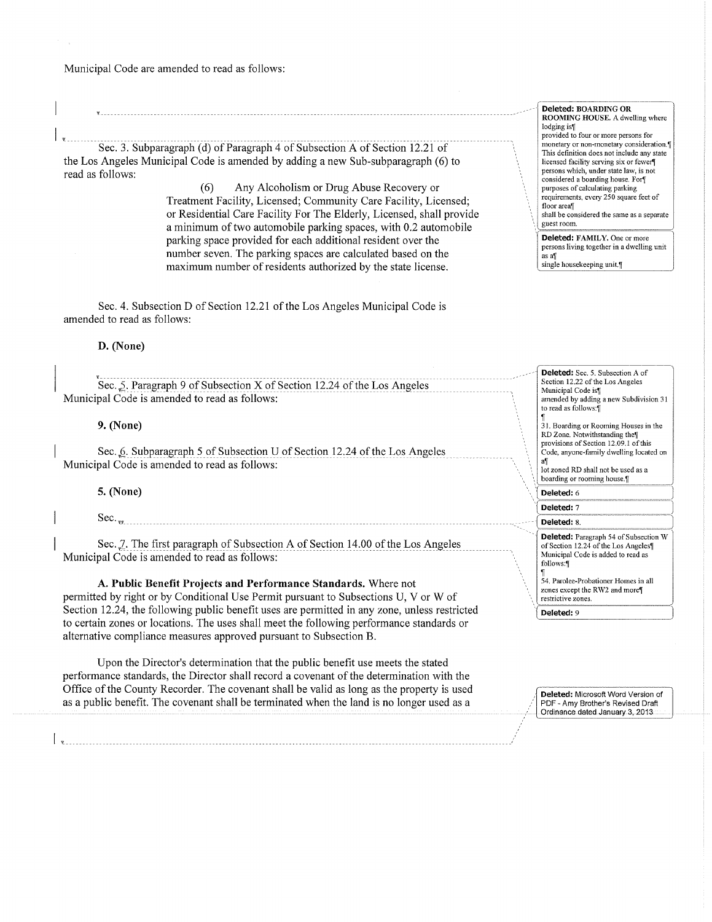Municipal Code are amended to read as follows:

Sec. 3. Subparagraph (d) of Paragraph 4 of Subsection A of Section 12.21 of the Los Angeles Municipal Code is amended by adding a new Sub-subparagraph (6) to read as follows:

> (6) Any Alcoholism or Drug Abuse Recovery or Treatment Facility, Licensed; Community Care Facility, Licensed; or Residential Care Facility For The Elderly, Licensed, shall provide a minimum of two automobile parking spaces, with 0.2 automobile parking space provided for each additional resident over the number seven. The parking spaces are calculated based on the maximum number of residents authorized by the state license.

Sec. 4. Subsection D of Section 12.21 of the Los Angeles Municipal Code is amended to read as follows:

## **D. (None)**

You Sec. 5. Paragraph 9 of Subsection X of Section 12.24 of the Los Angeles Municipal Code is amended to read as follows:

### **9. (None)**

Sec. 6. Subparagraph 5 of Subsection U of Section 12.24 of the Los Angeles Municipal Code is amended to read as follows:

5. **(None)** 

Sec.,..

Sec. 7. The first paragraph of Subsection A of Section 14.00 of the Los Angeles Municipal Code is amended to read as follows:

**A. Public Benefit Projects and Performance Standards.** Where not permitted by right or by Conditional Use Permit pursuant to Subsections U, V or W of Section 12.24, the following public benefit uses are permitted in any zone, unless restricted to certain zones or locations. The uses shall meet the following performance standards or

alternative compliance measures approved pursuant to Subsection B.

I ~ ---------------------------------------------------------- ----------------

Upon the Director's determination that the public benefit use meets the stated performance standards, the Director shall record a covenant of the determination with the Office of the County Recorder. The covenant shall be valid as long as the property is used as a public benefit. The covenant shall be terminated when the land is no longer used as a

**Deleted:** BOARDING OR ROOMING HOUSE. A dwelling where lodging is! **provided to four or more persons for**  monetary or non-monetary consideration.¶ This defmition does not include any state licensed facility serving six or fewer¶ **persons which, under state law, is not**  considered a boarding house. For purposes of calculating parking requirements, every 250 square feet of floor area<sup>™</sup> shall be considered the same as a separate **guest room. Deleted:** FAMILY. One or more

persons living together in a dwelling unit  $\alpha$ s a $\pi$ single housekeeping unit.

--------- **Deleted:** Sec. 5. Subsection A of Section 12.22 of the Los Angeles Municipal Code is<sup>[]</sup> amended by adding a new Subdivision 31 to read as follows:

~ **31. Boarding or Rooming Houses in the**  RD Zone. Notwithstanding the<sup>[1]</sup> provisions of Section 12.09.1 of this Code, anyone-family dwelling located on

a<sub>il</sub><br>lot zoned RD shall not be used as a boarding or rooming house.<sup>[1]</sup>

**Deleted: 6** 

Deleted: 7 Deleted: 8

**Deleted:** Paragraph 54 of Subsection W of Section 12.24 of the Los Angeles<sup>[1]</sup> Municipal Code is added to read as follows:

 $\overline{\phantom{a}}$ 

~ 54. Parolee-Probationer Homes in all zones except the RW2 and more¶ **restrictive zones.** 

**'-(Deleted:** 9

**Deleted:** Microsoft Word Version of PDF- Amy Brother's Revised Draft Ordinance dated January 3, 2013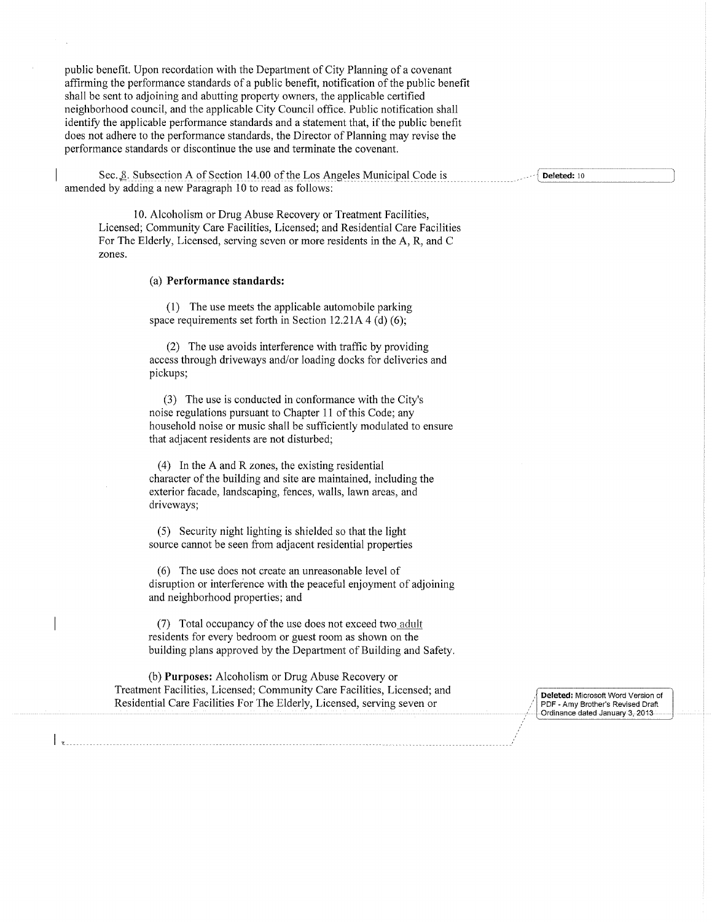public benefit. Upon recordation with the Department of City Planning of a covenant affirming the performance standards of a public benefit, notification of the public benefit shall be sent to adjoining and abutting property owners, the applicable certified neighborhood council, and the applicable City Council office. Public notification shall identify the applicable performance standards and a statement that, if the public benefit does not adhere to the performance standards, the Director of Planning may revise the performance standards or discontinue the use and terminate the covenant.

Sec. 8. Subsection A of Section 14.00 of the Los Angeles Municipal Code is amended by adding a new Paragraph 10 to read as follows:

10. Alcoholism or Drug Abuse Recovery or Treatment Facilities, Licensed; Community Care Facilities, Licensed; and Residential Care Facilities For The Elderly, Licensed, serving seven or more residents in the A, R, and C zones.

(a) **Performance standards:** 

(1) The use meets the applicable automobile parking space requirements set forth in Section 12.21A 4 (d) (6);

(2) The use avoids interference with traffic by providing access through driveways and/or loading docks for deliveries and pickups;

(3) The use is conducted in conformance with the City's noise regulations pursuant to Chapter 11 of this Code; any household noise or music shall be sufficiently modulated to ensure that adjacent residents are not disturbed;

(4) In the A and R zones, the existing residential character of the building and site are maintained, including the exterior facade, landscaping, fences, walls, lawn areas, and driveways;

(5) Security night lighting is shielded so that the light source cannot be seen from adjacent residential properties

(6) The use does not create an unreasonable level of disruption or interference with the peaceful enjoyment of adjoining and neighborhood properties; and

(7) Total occupancy of the use does not exceed two adult residents for every bedroom or guest room as shown on the building plans approved by the Department of Building and Safety.

(b) **Purposes:** Alcoholism or Drug Abuse Recovery or Treatment Facilities, Licensed; Community Care Facilities, Licensed; and Residential Care Facilities For The Elderly, Licensed, serving seven or **Deleted:** Microsoft Word Version of

PDF- Amy Brother's Revised Draft Ordinance dated January 3, 2013

Deleted: 10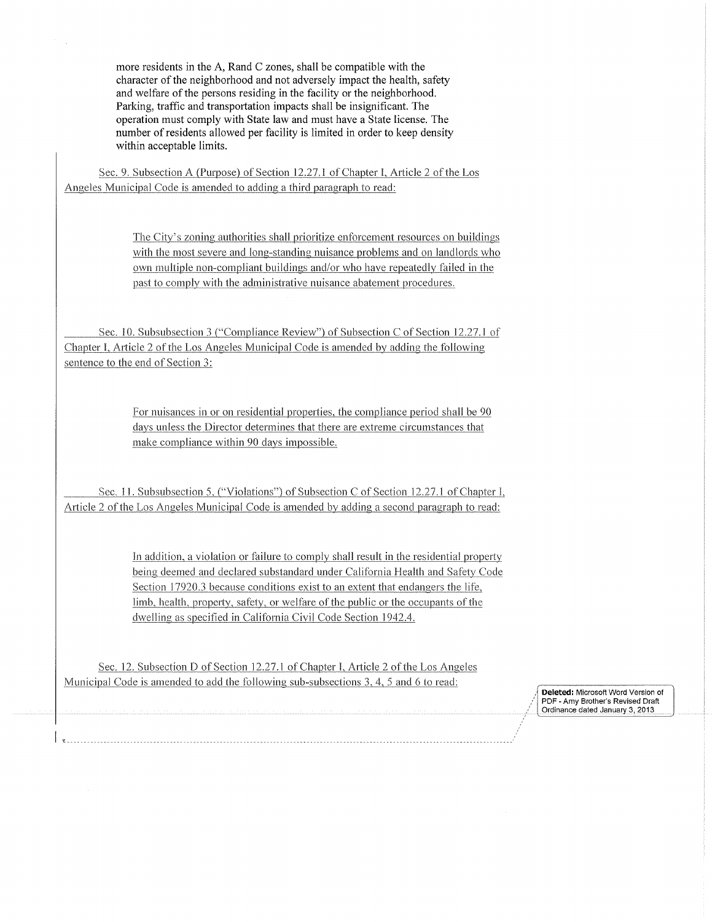more residents in the A, Rand C zones, shall be compatible with the character of the neighborhood and not adversely impact the health, safety and welfare of the persons residing in the facility or the neighborhood. Parking, traffic and transportation impacts shall be insignificant. The operation must comply with State law and must have a State license. The number of residents allowed per facility is limited in order to keep density within acceptable limits.

Sec. 9. Subsection A (Purpose) of Section 12.27.1 of Chapter I, Article 2 of the Los Angeles Municipal Code is amended to adding a third paragraph to read:

> The City's zoning authorities shall prioritize enforcement resources on buildings with the most severe and long-standing nuisance problems and on landlords who own multiple non-compliant buildings and/or who have repeatedly failed in the past to comply with the administrative nuisance abatement procedures.

Sec. 10. Subsubsection 3 ("Compliance Review") of Subsection C of Section 12.27.1 of Chapter I, Article 2 of the Los Angeles Municipal Code is amended by adding the following sentence to the end of Section 3:

> For nuisances in or on residential properties, the compliance period shall be 90 days unless the Director determines that there are extreme circumstances that make compliance within 90 davs impossible.

Sec. 11. Subsubsection 5, ("Violations") of Subsection C of Section 12.27.1 of Chapter I, Article 2 of the Los Angeles Municipal Code is amended bv adding a second paragraph to read:

> In addition, a violation or failure to comply shall result in the residential property being deemed and declared substandard under California Health and Safety Code Section 17920.3 because conditions exist to an extent that endangers the life, limb, health, property, safety, or welfare of the public or the occupants of the dwelling as specified in California Civil Code Section 1942.4.

Sec. 12. Subsection D of Section 12.77.1 of Chapter l, Article 2 of the Los Angeles Municipal Code is amended to add the following sub-subsections 3, 4, 5 and 6 to read:

**Deleted:** Microsoft Word Version of PDF - Amy Brother's Revised Draft Ordinance dated January 3, 2013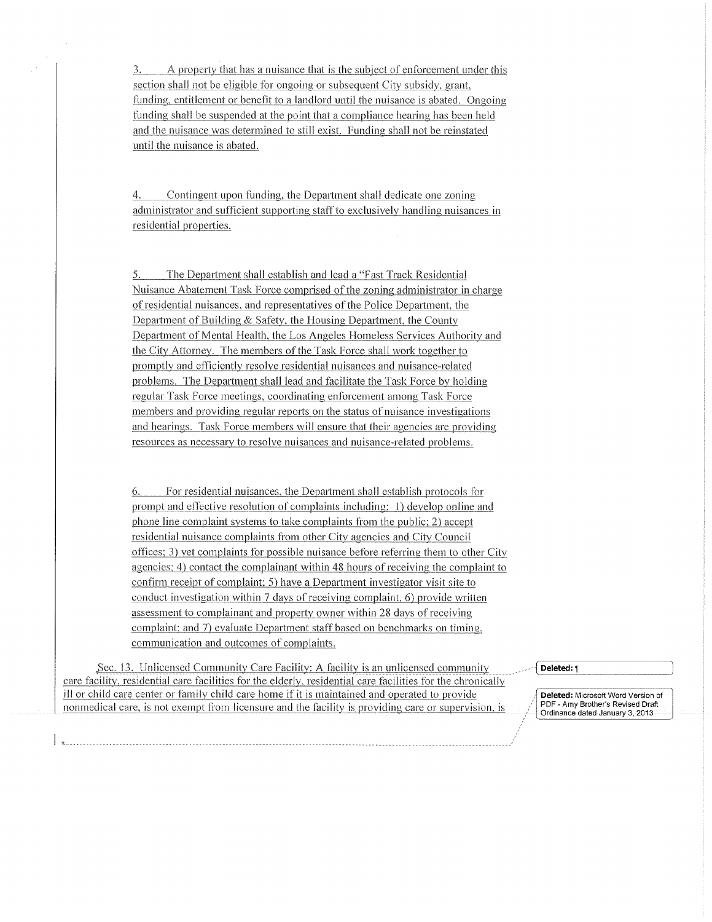A property that has a nuisance that is the subject of enforcement under this 3. section shall not be eligible for ongoing or subsequent City subsidy, grant. funding, entitlement or benefit to a landlord until the nuisance is abated. Ongoing funding shall be suspended at the point that a compliance hearing has been held and the nuisance was determined to still exist. Funding shall not be reinstated until the nuisance is abated.

Contingent upon funding, the Department shall dedicate one zoning 4. administrator and sufficient supporting staff to exclusively handling nuisances in residential properties.

The Department shall establish and lead a "Fast Track Residential 5. Nuisance Abatement Task Force comprised of the zoning administrator in charge of residential nuisances, and representatives of the Police Department, the Department of Building & Safety, the Housing Department, the County Department of Mental Health, the Los Angeles Homeless Services Authority and the City Attorney. The members of the Task Force shall work together to promptly and efficiently resolve residential nuisances and nuisance-related problems. The Department shall lead and facilitate the Task Force by holding regular Task Force meetings, coordinating enforcement among Task Force members and providing regular reports on the status of nuisance investigations and hearings. Task Force members will ensure that their agencies are providing resources as necessary to resolve nuisances and nuisance-related problems.

6. For residential nuisances, the Department shall establish protocols for prompt and effective resolution of complaints including: 1) develop online and phone line complaint systems to take complaints from the public; 2) accept residential nuisance complaints from other City agencies and City Council offices; 3) vet complaints for possible nuisance before referring them to other City agencies; 4) contact the complainant within 48 hours of receiving the complaint to confirm receipt of complaint; 5) have a Department investigator visit site to conduct investigation within 7 days of receiving complaint, 6) provide written assessment to complainant and property owner within 28 days of receiving complaint; and 7) evaluate Department staff based on benchmarks on timing, communication and outcomes of complaints.

Sec. 13. Unlicensed Community Care Facility: A facility is an unlicensed community care facility, residential care facilities for the elderly, residential care facilities for the chronically ill or child care center or family child care home if it is maintained and operated to provide nonmedical care, is not exempt from licensure and the facility is providing care or supervision, is

#### Deleted: 1

**Deleted:** Microsoft Word Version of PDF- Amy Brother's Revised Draft Ordinance dated January 3, 2013